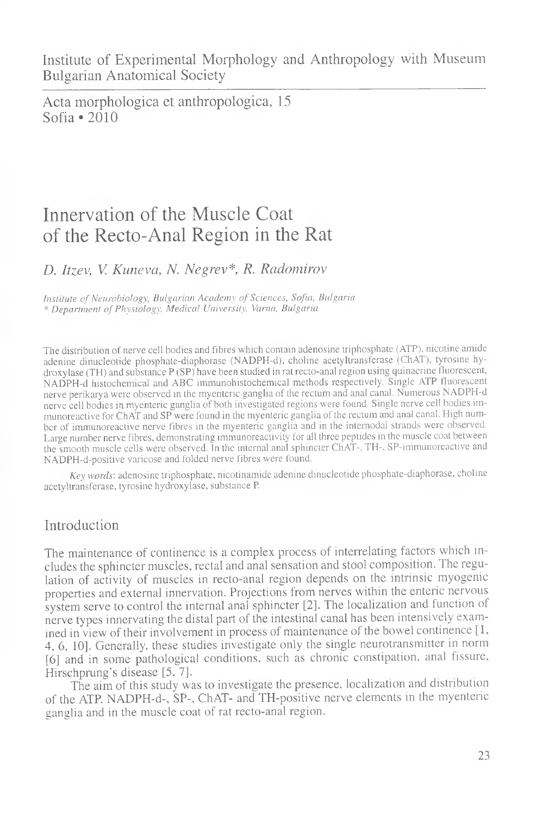Institute of Experimental Morphology and Anthropology with Museum Bulgarian Anatomical Society

Acta morphologica et anthropologica, 15 Sofia  $\bullet$  2010

# Innervation of the Muscle Coat of the Recto-Anal Region in the Rat

## *D. Itzev, V. Kuneva, N. Negrev\*, R. Radomirov*

*Institute of Neurobiology, Bulgarian Academy of Sciences, Sofia, Bulgaria \* Department of Physiology, Medical University, Varna, Bulgaria*

The distribution of nerve cell bodies and fibres which contain adenosine triphosphate (ATP), nicotine amide adenine dinucleotide phosphate-diaphorase (NADPH-d), choline acetyltransferase (ChAT), tyrosine hydroxylase (TH) and substance P (SP) have been studied in rat recto-anal region using quinacrine fluorescent, NADPH-d histochemical and ABC immunohistochemical methods respectively. Single ATP fluorescent nerve perikarya were observed in the myenteric ganglia of the rectum and anal canal. Numerous NADPH-d nerve cell bodies in myenteric ganglia of both investigated regions were found. Single nerve cell bodies immunoreactive for ChAT and SP were found in the myenteric ganglia of the rectum and anal canal. High number of immunoreactive nerve fibres in the myenteric ganglia and in the internodal strands were observed. Large number nerve fibres, demonstrating immunoreactivity for all three peptides in the muscle coat between the smooth muscle cells were observed. In the internal anal sphincter ChAT-, TH-, SP-immunoreactive and NADPH-d-positive varicose and folded nerve fibres were found.

*Key words',* adenosine triphosphate, nicotinamide adenine dinucleotide phosphate-diaphorase, choline acetyltransferase, tyrosine hydroxylase, substance P.

### Introduction

The maintenance of continence is a complex process of interrelating factors which includes the sphincter muscles, rectal and anal sensation and stool composition. The regulation of activity of muscles in recto-anal region depends on the intrinsic myogenic properties and external innervation. Projections from nerves within the enteric nervous system serve to control the internal anal sphincter [2]. The localization and function of nerve types innervating the distal part of the intestinal canal has been intensively examined in view of their involvement in process of maintenance of the bowel continence [1, 4, 6, 10]. Generally, these studies investigate only the single neurotransmitter in norm [6] and in some pathological conditions, such as chronic constipation, anal fissure, Hirschprung's disease [5, 7].

The aim of this study was to investigate the presence, localization and distribution of the ATP, NADPH-d-, SP-, ChAT- and TH-positive nerve elements in the myenteric ganglia and in the muscle coat of rat recto-anal region.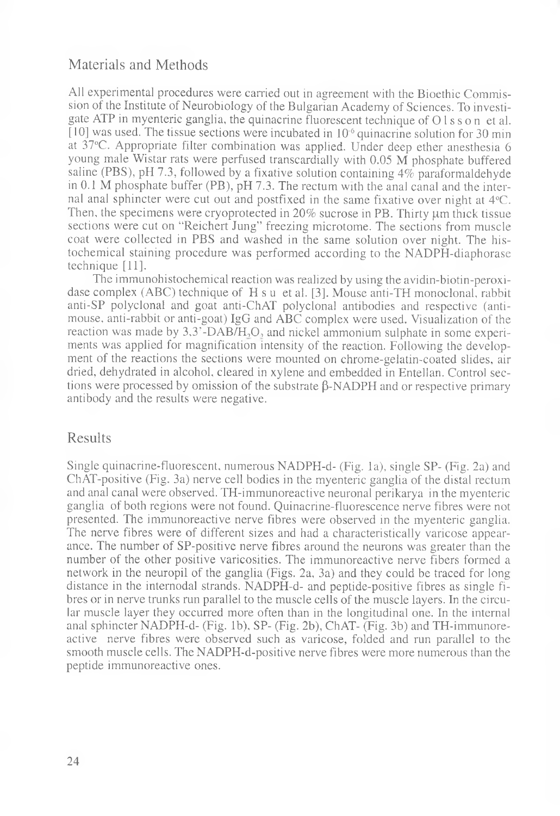#### Materials and Methods

All experimental procedures were carried out in agreement with the Bioethic Commission of the Institute of Neurobiology of the Bulgarian Academy of Sciences. To investigate ATP in myenteric ganglia, the quinacrine fluorescent technique of O 1 s s o n et al.  $[10]$  was used. The tissue sections were incubated in  $10^{-6}$  quinacrine solution for 30 min at 37°C. Appropriate filter combination was applied. Under deep ether anesthesia 6 young male Wistar rats were perfused transcardially with 0.05 M phosphate buffered saline (PBS), pH 7.3, followed by a fixative solution containing 4% paraformaldehyde in 0.1 M phosphate buffer (PB), pH 7.3. The rectum with the anal canal and the internal anal sphincter were cut out and postfixed in the same fixative over night at 4°C. Then, the specimens were cryoprotected in  $20\%$  sucrose in PB. Thirty  $\mu$ m thick tissue sections were cut on "Reichert Jung" freezing microtome. The sections from muscle coat were collected in PBS and washed in the same solution over night. The histochemical staining procedure was performed according to the NADPH-diaphorase technique [11].

The immunohistochemical reaction was realized by using the avidin-biotin-peroxidase complex (ABC) technique of H s u et al. [3]. Mouse anti-TH monoclonal, rabbit anti-SP polyclonal and goat anti-ChAT polyclonal antibodies and respective (antimouse, anti-rabbit or anti-goat) IgG and ABC complex were used. Visualization of the reaction was made by  $3.3$ <sup>-</sup>DAB/H<sub>2</sub>O, and nickel ammonium sulphate in some experiments was applied for magnification intensity of the reaction. Following the development of the reactions the sections were mounted on chrome-gelatin-coated slides, air dried, dehydrated in alcohol, cleared in xylene and embedded in Entellan. Control sections were processed by omission of the substrate  $\beta$ -NADPH and or respective primary antibody and the results were negative.

#### Results

Single quinacrine-fluorescent, numerous NADPH-d- (Fig. la), single SP- (Fig. 2a) and ChAT-positive (Fig. 3a) nerve cell bodies in the myenteric ganglia of the distal rectum and anal canal were observed. TH-immunoreactive neuronal perikarya in the myenteric ganglia of both regions were not found. Quinacrine-fluorescence nerve fibres were not presented. The immunoreactive nerve fibres were observed in the myenteric ganglia. The nerve fibres were of different sizes and had a characteristically varicose appearance. The number of SP-positive nerve fibres around the neurons was greater than the number of the other positive varicosities. The immunoreactive nerve fibers formed a network in the neuropil of the ganglia (Figs. 2a, 3a) and they could be traced for long distance in the internodal strands. NADPH-d- and peptide-positive fibres as single fibres or in nerve trunks run parallel to the muscle cells of the muscle layers. In the circular muscle layer they occurred more often than in the longitudinal one. In the internal anal sphincter NADPH-d- (Fig. lb), SP- (Fig. 2b), ChAT- (Fig. 3b) and TH-immunoreactive nerve fibres were observed such as varicose, folded and run parallel to the smooth muscle cells. The NADPH-d-positive nerve fibres were more numerous than the peptide immunoreactive ones.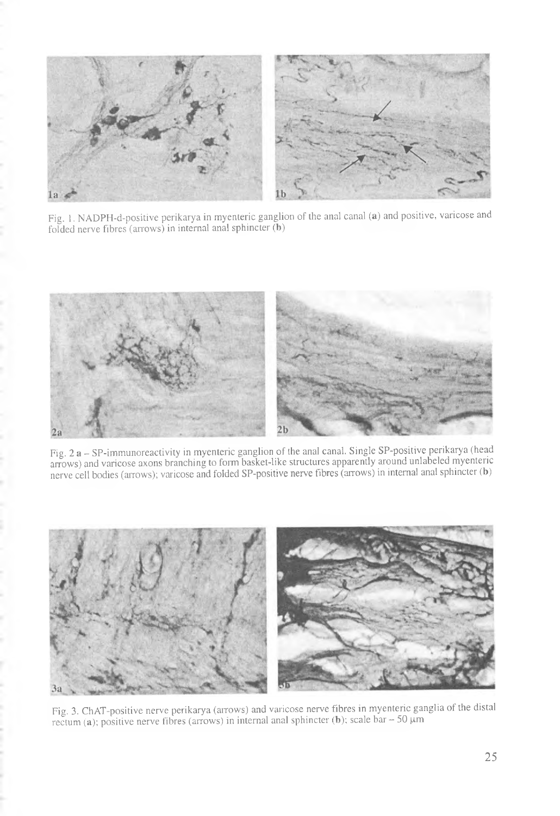

Fig. 1. NADPH-d-positive perikarya in myenteric ganglion of the anal canal (a) and positive, varicose and folded nerve fibres (arrows) in internal anal sphincter (b)



Fig. 2 a - SP-immunoreactivity in myenteric ganglion of the anal canal. Single SP-positive perikarya (head arrows) and varicose axons branching to form basket-like structures apparently around unlabeled myenteric nerve cell bodies (arrows); varicose and folded SP-positive nerve fibres (arrows) in internal anal sphincter (b)



Fig. 3. ChAT-positive nerve perikarya (arrows) and varicose nerve fibres in myenteric ganglia of the distal rectum (a); positive nerve fibres (arrows) in internal anal sphincter (b); scale bar  $-50 \mu m$